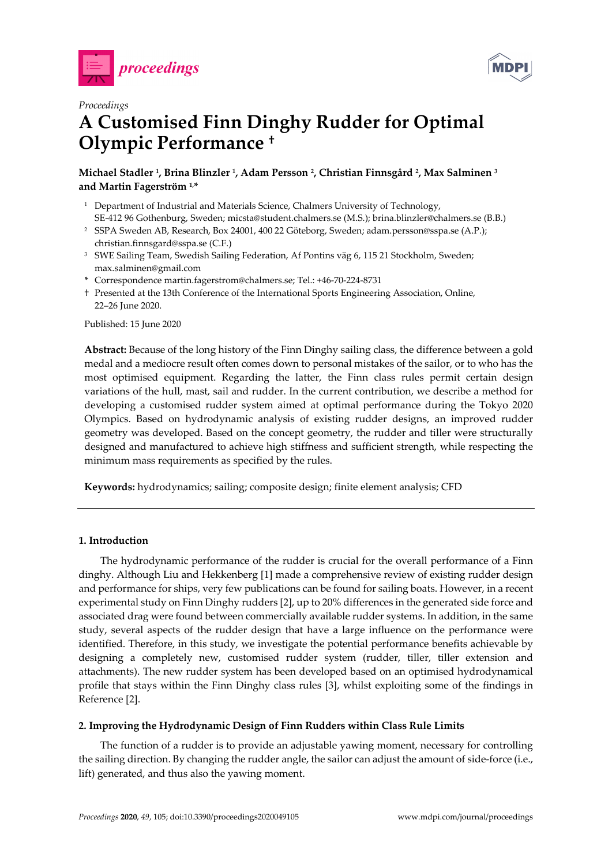



# *Proceedings*  **A Customised Finn Dinghy Rudder for Optimal Olympic Performance †**

**Michael Stadler 1, Brina Blinzler 1, Adam Persson 2, Christian Finnsgård 2, Max Salminen 3 and Martin Fagerström 1,\*** 

- <sup>1</sup> Department of Industrial and Materials Science, Chalmers University of Technology, SE-412 96 Gothenburg, Sweden; micsta@student.chalmers.se (M.S.); brina.blinzler@chalmers.se (B.B.)
- 2 SSPA Sweden AB, Research, Box 24001, 400 22 Göteborg, Sweden; adam.persson@sspa.se (A.P.); christian.finnsgard@sspa.se (C.F.)
- <sup>3</sup> SWE Sailing Team, Swedish Sailing Federation, Af Pontins väg 6, 115 21 Stockholm, Sweden; max.salminen@gmail.com
- **\*** Correspondence martin.fagerstrom@chalmers.se; Tel.: +46-70-224-8731
- † Presented at the 13th Conference of the International Sports Engineering Association, Online, 22–26 June 2020.

Published: 15 June 2020

**Abstract:** Because of the long history of the Finn Dinghy sailing class, the difference between a gold medal and a mediocre result often comes down to personal mistakes of the sailor, or to who has the most optimised equipment. Regarding the latter, the Finn class rules permit certain design variations of the hull, mast, sail and rudder. In the current contribution, we describe a method for developing a customised rudder system aimed at optimal performance during the Tokyo 2020 Olympics. Based on hydrodynamic analysis of existing rudder designs, an improved rudder geometry was developed. Based on the concept geometry, the rudder and tiller were structurally designed and manufactured to achieve high stiffness and sufficient strength, while respecting the minimum mass requirements as specified by the rules.

**Keywords:** hydrodynamics; sailing; composite design; finite element analysis; CFD

## **1. Introduction**

The hydrodynamic performance of the rudder is crucial for the overall performance of a Finn dinghy. Although Liu and Hekkenberg [1] made a comprehensive review of existing rudder design and performance for ships, very few publications can be found for sailing boats. However, in a recent experimental study on Finn Dinghy rudders [2], up to 20% differences in the generated side force and associated drag were found between commercially available rudder systems. In addition, in the same study, several aspects of the rudder design that have a large influence on the performance were identified. Therefore, in this study, we investigate the potential performance benefits achievable by designing a completely new, customised rudder system (rudder, tiller, tiller extension and attachments). The new rudder system has been developed based on an optimised hydrodynamical profile that stays within the Finn Dinghy class rules [3], whilst exploiting some of the findings in Reference [2].

## **2. Improving the Hydrodynamic Design of Finn Rudders within Class Rule Limits**

The function of a rudder is to provide an adjustable yawing moment, necessary for controlling the sailing direction. By changing the rudder angle, the sailor can adjust the amount of side-force (i.e., lift) generated, and thus also the yawing moment.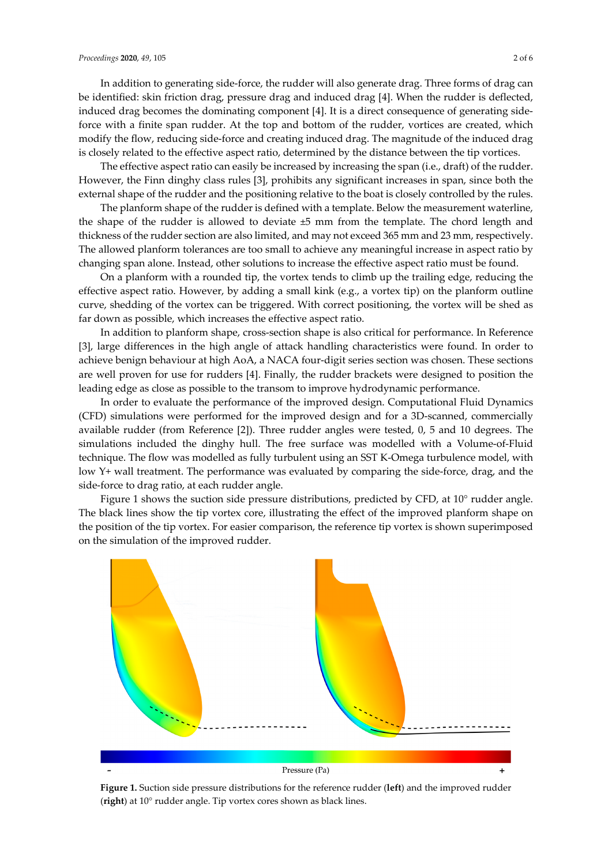In addition to generating side-force, the rudder will also generate drag. Three forms of drag can be identified: skin friction drag, pressure drag and induced drag [4]. When the rudder is deflected, induced drag becomes the dominating component [4]. It is a direct consequence of generating sideforce with a finite span rudder. At the top and bottom of the rudder, vortices are created, which modify the flow, reducing side-force and creating induced drag. The magnitude of the induced drag is closely related to the effective aspect ratio, determined by the distance between the tip vortices.

The effective aspect ratio can easily be increased by increasing the span (i.e., draft) of the rudder. However, the Finn dinghy class rules [3], prohibits any significant increases in span, since both the external shape of the rudder and the positioning relative to the boat is closely controlled by the rules.

The planform shape of the rudder is defined with a template. Below the measurement waterline, the shape of the rudder is allowed to deviate ±5 mm from the template. The chord length and thickness of the rudder section are also limited, and may not exceed 365 mm and 23 mm, respectively. The allowed planform tolerances are too small to achieve any meaningful increase in aspect ratio by changing span alone. Instead, other solutions to increase the effective aspect ratio must be found.

On a planform with a rounded tip, the vortex tends to climb up the trailing edge, reducing the effective aspect ratio. However, by adding a small kink (e.g., a vortex tip) on the planform outline curve, shedding of the vortex can be triggered. With correct positioning, the vortex will be shed as far down as possible, which increases the effective aspect ratio.

In addition to planform shape, cross-section shape is also critical for performance. In Reference [3], large differences in the high angle of attack handling characteristics were found. In order to achieve benign behaviour at high AoA, a NACA four-digit series section was chosen. These sections are well proven for use for rudders [4]. Finally, the rudder brackets were designed to position the leading edge as close as possible to the transom to improve hydrodynamic performance.

In order to evaluate the performance of the improved design. Computational Fluid Dynamics (CFD) simulations were performed for the improved design and for a 3D-scanned, commercially available rudder (from Reference [2]). Three rudder angles were tested, 0, 5 and 10 degrees. The simulations included the dinghy hull. The free surface was modelled with a Volume-of-Fluid technique. The flow was modelled as fully turbulent using an SST K-Omega turbulence model, with low Y+ wall treatment. The performance was evaluated by comparing the side-force, drag, and the side-force to drag ratio, at each rudder angle.

Figure 1 shows the suction side pressure distributions, predicted by CFD, at 10° rudder angle. The black lines show the tip vortex core, illustrating the effect of the improved planform shape on the position of the tip vortex. For easier comparison, the reference tip vortex is shown superimposed on the simulation of the improved rudder.



**Figure 1.** Suction side pressure distributions for the reference rudder (**left**) and the improved rudder (**right**) at 10° rudder angle. Tip vortex cores shown as black lines.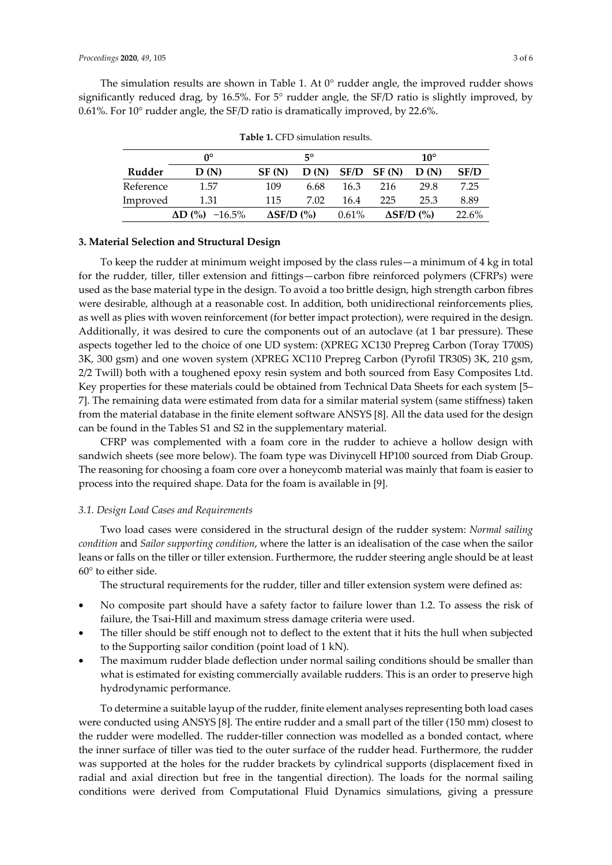The simulation results are shown in Table 1. At  $0^{\circ}$  rudder angle, the improved rudder shows significantly reduced drag, by 16.5%. For 5° rudder angle, the SF/D ratio is slightly improved, by 0.61%. For 10° rudder angle, the SF/D ratio is dramatically improved, by 22.6%.

|           | $5^\circ$<br>n۰ |                   |      | $10^{\circ}$ |                   |      |       |
|-----------|-----------------|-------------------|------|--------------|-------------------|------|-------|
| Rudder    | D(N)            | SF(N)             |      |              | $D(N)$ SF/D SF(N) | D(N) | SF/D  |
| Reference | 1.57            | 109               | 6.68 | 16.3         | 216               | 29.8 | 7.25  |
| Improved  | 1.31            | 115               | 7.02 | 16.4         | 225               | 25.3 | 8.89  |
|           | $AD (%) -16.5%$ | $\Delta$ SF/D (%) |      | $0.61\%$     | $\Delta$ SF/D (%) |      | 22.6% |

**Table 1.** CFD simulation results.

## **3. Material Selection and Structural Design**

To keep the rudder at minimum weight imposed by the class rules—a minimum of 4 kg in total for the rudder, tiller, tiller extension and fittings—carbon fibre reinforced polymers (CFRPs) were used as the base material type in the design. To avoid a too brittle design, high strength carbon fibres were desirable, although at a reasonable cost. In addition, both unidirectional reinforcements plies, as well as plies with woven reinforcement (for better impact protection), were required in the design. Additionally, it was desired to cure the components out of an autoclave (at 1 bar pressure). These aspects together led to the choice of one UD system: (XPREG XC130 Prepreg Carbon (Toray T700S) 3K, 300 gsm) and one woven system (XPREG XC110 Prepreg Carbon (Pyrofil TR30S) 3K, 210 gsm, 2/2 Twill) both with a toughened epoxy resin system and both sourced from Easy Composites Ltd. Key properties for these materials could be obtained from Technical Data Sheets for each system [5– 7]. The remaining data were estimated from data for a similar material system (same stiffness) taken from the material database in the finite element software ANSYS [8]. All the data used for the design can be found in the Tables S1 and S2 in the supplementary material.

CFRP was complemented with a foam core in the rudder to achieve a hollow design with sandwich sheets (see more below). The foam type was Divinycell HP100 sourced from Diab Group. The reasoning for choosing a foam core over a honeycomb material was mainly that foam is easier to process into the required shape. Data for the foam is available in [9].

### *3.1. Design Load Cases and Requirements*

Two load cases were considered in the structural design of the rudder system: *Normal sailing condition* and *Sailor supporting condition*, where the latter is an idealisation of the case when the sailor leans or falls on the tiller or tiller extension. Furthermore, the rudder steering angle should be at least 60° to either side.

The structural requirements for the rudder, tiller and tiller extension system were defined as:

- No composite part should have a safety factor to failure lower than 1.2. To assess the risk of failure, the Tsai-Hill and maximum stress damage criteria were used.
- The tiller should be stiff enough not to deflect to the extent that it hits the hull when subjected to the Supporting sailor condition (point load of 1 kN).
- The maximum rudder blade deflection under normal sailing conditions should be smaller than what is estimated for existing commercially available rudders. This is an order to preserve high hydrodynamic performance.

To determine a suitable layup of the rudder, finite element analyses representing both load cases were conducted using ANSYS [8]. The entire rudder and a small part of the tiller (150 mm) closest to the rudder were modelled. The rudder-tiller connection was modelled as a bonded contact, where the inner surface of tiller was tied to the outer surface of the rudder head. Furthermore, the rudder was supported at the holes for the rudder brackets by cylindrical supports (displacement fixed in radial and axial direction but free in the tangential direction). The loads for the normal sailing conditions were derived from Computational Fluid Dynamics simulations, giving a pressure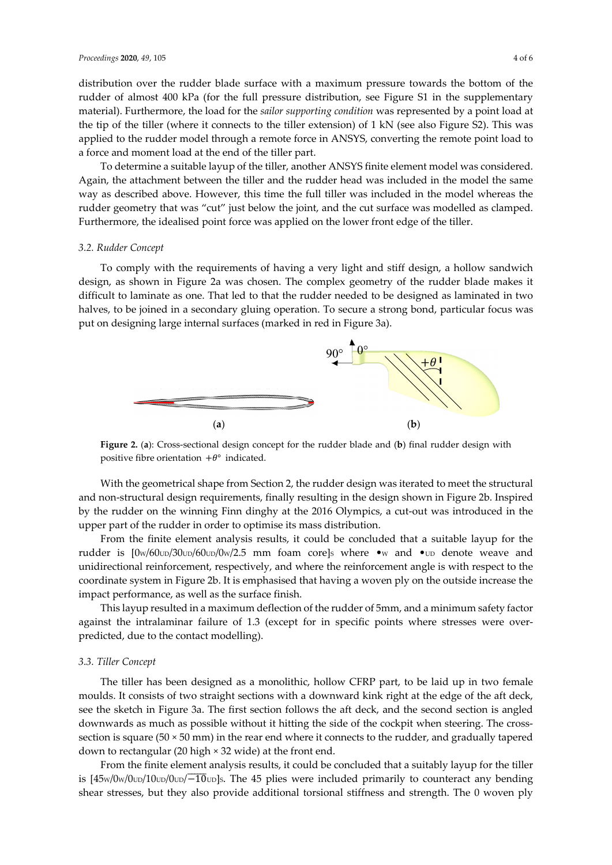distribution over the rudder blade surface with a maximum pressure towards the bottom of the rudder of almost 400 kPa (for the full pressure distribution, see Figure S1 in the supplementary material). Furthermore, the load for the *sailor supporting condition* was represented by a point load at the tip of the tiller (where it connects to the tiller extension) of 1 kN (see also Figure S2). This was applied to the rudder model through a remote force in ANSYS, converting the remote point load to a force and moment load at the end of the tiller part.

To determine a suitable layup of the tiller, another ANSYS finite element model was considered. Again, the attachment between the tiller and the rudder head was included in the model the same way as described above. However, this time the full tiller was included in the model whereas the rudder geometry that was "cut" just below the joint, and the cut surface was modelled as clamped. Furthermore, the idealised point force was applied on the lower front edge of the tiller.

#### *3.2. Rudder Concept*

To comply with the requirements of having a very light and stiff design, a hollow sandwich design, as shown in Figure 2a was chosen. The complex geometry of the rudder blade makes it difficult to laminate as one. That led to that the rudder needed to be designed as laminated in two halves, to be joined in a secondary gluing operation. To secure a strong bond, particular focus was put on designing large internal surfaces (marked in red in Figure 3a).



**Figure 2.** (**a**): Cross-sectional design concept for the rudder blade and (**b**) final rudder design with positive fibre orientation  $+\theta^{\circ}$  indicated.

With the geometrical shape from Section 2, the rudder design was iterated to meet the structural and non-structural design requirements, finally resulting in the design shown in Figure 2b. Inspired by the rudder on the winning Finn dinghy at the 2016 Olympics, a cut-out was introduced in the upper part of the rudder in order to optimise its mass distribution.

From the finite element analysis results, it could be concluded that a suitable layup for the rudder is  $\frac{10w}{60wD}/30w}{60wD}$  (000  $\frac{12.5}{20}$  mm foam core]s where •w and •up denote weave and unidirectional reinforcement, respectively, and where the reinforcement angle is with respect to the coordinate system in Figure 2b. It is emphasised that having a woven ply on the outside increase the impact performance, as well as the surface finish.

This layup resulted in a maximum deflection of the rudder of 5mm, and a minimum safety factor against the intralaminar failure of 1.3 (except for in specific points where stresses were overpredicted, due to the contact modelling).

#### *3.3. Tiller Concept*

The tiller has been designed as a monolithic, hollow CFRP part, to be laid up in two female moulds. It consists of two straight sections with a downward kink right at the edge of the aft deck, see the sketch in Figure 3a. The first section follows the aft deck, and the second section is angled downwards as much as possible without it hitting the side of the cockpit when steering. The crosssection is square ( $50 \times 50$  mm) in the rear end where it connects to the rudder, and gradually tapered down to rectangular (20 high × 32 wide) at the front end.

From the finite element analysis results, it could be concluded that a suitably layup for the tiller is  $[45w/0w/0w/10w/10w/10w]$ s. The 45 plies were included primarily to counteract any bending shear stresses, but they also provide additional torsional stiffness and strength. The 0 woven ply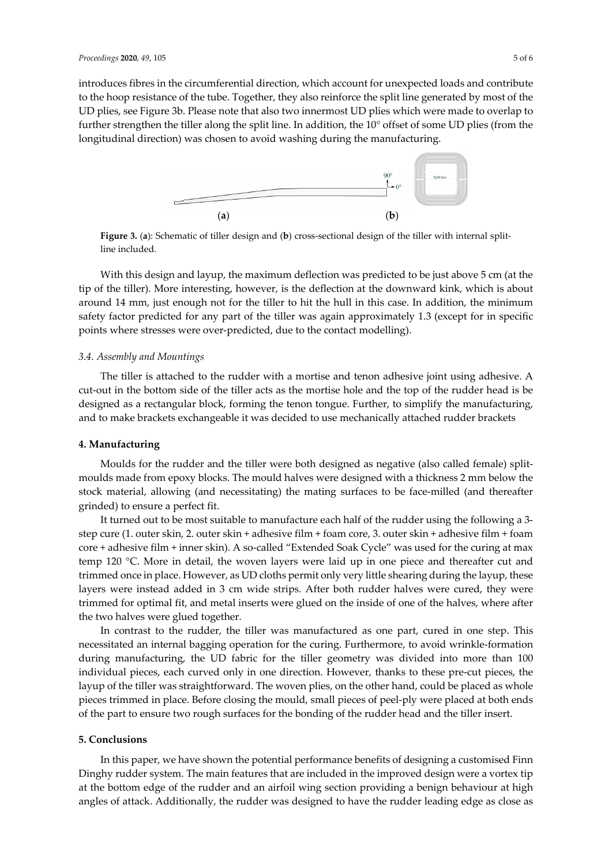introduces fibres in the circumferential direction, which account for unexpected loads and contribute to the hoop resistance of the tube. Together, they also reinforce the split line generated by most of the UD plies, see Figure 3b. Please note that also two innermost UD plies which were made to overlap to further strengthen the tiller along the split line. In addition, the 10° offset of some UD plies (from the longitudinal direction) was chosen to avoid washing during the manufacturing.



**Figure 3.** (**a**): Schematic of tiller design and (**b**) cross-sectional design of the tiller with internal splitline included.

With this design and layup, the maximum deflection was predicted to be just above 5 cm (at the tip of the tiller). More interesting, however, is the deflection at the downward kink, which is about around 14 mm, just enough not for the tiller to hit the hull in this case. In addition, the minimum safety factor predicted for any part of the tiller was again approximately 1.3 (except for in specific points where stresses were over-predicted, due to the contact modelling).

#### *3.4. Assembly and Mountings*

The tiller is attached to the rudder with a mortise and tenon adhesive joint using adhesive. A cut-out in the bottom side of the tiller acts as the mortise hole and the top of the rudder head is be designed as a rectangular block, forming the tenon tongue. Further, to simplify the manufacturing, and to make brackets exchangeable it was decided to use mechanically attached rudder brackets

## **4. Manufacturing**

Moulds for the rudder and the tiller were both designed as negative (also called female) splitmoulds made from epoxy blocks. The mould halves were designed with a thickness 2 mm below the stock material, allowing (and necessitating) the mating surfaces to be face-milled (and thereafter grinded) to ensure a perfect fit.

It turned out to be most suitable to manufacture each half of the rudder using the following a 3 step cure (1. outer skin, 2. outer skin + adhesive film + foam core, 3. outer skin + adhesive film + foam core + adhesive film + inner skin). A so-called "Extended Soak Cycle" was used for the curing at max temp 120 °C. More in detail, the woven layers were laid up in one piece and thereafter cut and trimmed once in place. However, as UD cloths permit only very little shearing during the layup, these layers were instead added in 3 cm wide strips. After both rudder halves were cured, they were trimmed for optimal fit, and metal inserts were glued on the inside of one of the halves, where after the two halves were glued together.

In contrast to the rudder, the tiller was manufactured as one part, cured in one step. This necessitated an internal bagging operation for the curing. Furthermore, to avoid wrinkle-formation during manufacturing, the UD fabric for the tiller geometry was divided into more than 100 individual pieces, each curved only in one direction. However, thanks to these pre-cut pieces, the layup of the tiller was straightforward. The woven plies, on the other hand, could be placed as whole pieces trimmed in place. Before closing the mould, small pieces of peel-ply were placed at both ends of the part to ensure two rough surfaces for the bonding of the rudder head and the tiller insert.

#### **5. Conclusions**

In this paper, we have shown the potential performance benefits of designing a customised Finn Dinghy rudder system. The main features that are included in the improved design were a vortex tip at the bottom edge of the rudder and an airfoil wing section providing a benign behaviour at high angles of attack. Additionally, the rudder was designed to have the rudder leading edge as close as